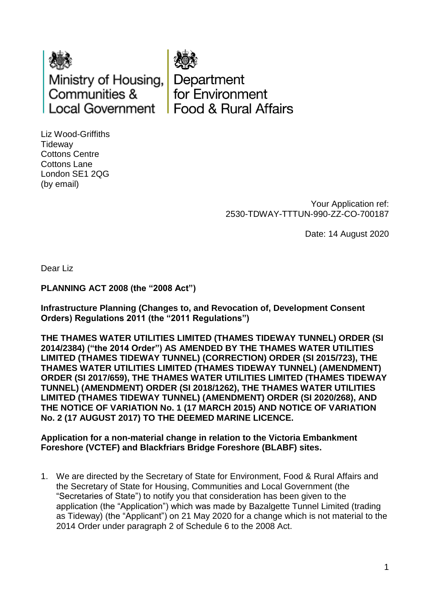

Department for Environment **Food & Rural Affairs** 

Liz Wood-Griffiths **Tideway** Cottons Centre Cottons Lane London SE1 2QG (by email)

> Your Application ref: 2530-TDWAY-TTTUN-990-ZZ-CO-700187

> > Date: 14 August 2020

Dear Liz

**PLANNING ACT 2008 (the "2008 Act")** 

**Infrastructure Planning (Changes to, and Revocation of, Development Consent Orders) Regulations 2011 (the "2011 Regulations")** 

**THE THAMES WATER UTILITIES LIMITED (THAMES TIDEWAY TUNNEL) ORDER (SI 2014/2384) ("the 2014 Order") AS AMENDED BY THE THAMES WATER UTILITIES LIMITED (THAMES TIDEWAY TUNNEL) (CORRECTION) ORDER (SI 2015/723), THE THAMES WATER UTILITIES LIMITED (THAMES TIDEWAY TUNNEL) (AMENDMENT) ORDER (SI 2017/659), THE THAMES WATER UTILITIES LIMITED (THAMES TIDEWAY TUNNEL) (AMENDMENT) ORDER (SI 2018/1262), THE THAMES WATER UTILITIES LIMITED (THAMES TIDEWAY TUNNEL) (AMENDMENT) ORDER (SI 2020/268), AND THE NOTICE OF VARIATION No. 1 (17 MARCH 2015) AND NOTICE OF VARIATION No. 2 (17 AUGUST 2017) TO THE DEEMED MARINE LICENCE.**

**Application for a non-material change in relation to the Victoria Embankment Foreshore (VCTEF) and Blackfriars Bridge Foreshore (BLABF) sites.**

1. We are directed by the Secretary of State for Environment, Food & Rural Affairs and the Secretary of State for Housing, Communities and Local Government (the "Secretaries of State") to notify you that consideration has been given to the application (the "Application") which was made by Bazalgette Tunnel Limited (trading as Tideway) (the "Applicant") on 21 May 2020 for a change which is not material to the 2014 Order under paragraph 2 of Schedule 6 to the 2008 Act.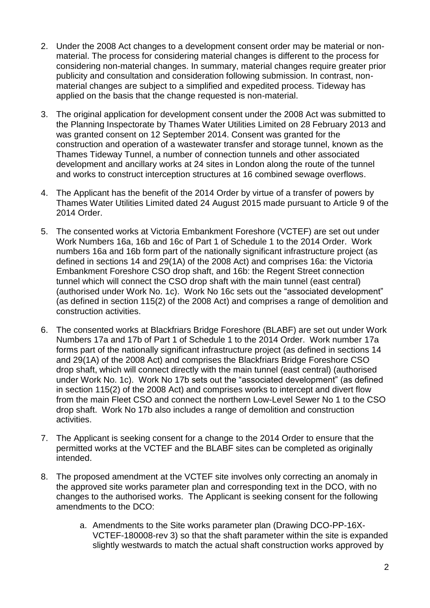- 2. Under the 2008 Act changes to a development consent order may be material or nonmaterial. The process for considering material changes is different to the process for considering non-material changes. In summary, material changes require greater prior publicity and consultation and consideration following submission. In contrast, nonmaterial changes are subject to a simplified and expedited process. Tideway has applied on the basis that the change requested is non-material.
- 3. The original application for development consent under the 2008 Act was submitted to the Planning Inspectorate by Thames Water Utilities Limited on 28 February 2013 and was granted consent on 12 September 2014. Consent was granted for the construction and operation of a wastewater transfer and storage tunnel, known as the Thames Tideway Tunnel, a number of connection tunnels and other associated development and ancillary works at 24 sites in London along the route of the tunnel and works to construct interception structures at 16 combined sewage overflows.
- 4. The Applicant has the benefit of the 2014 Order by virtue of a transfer of powers by Thames Water Utilities Limited dated 24 August 2015 made pursuant to Article 9 of the 2014 Order.
- 5. The consented works at Victoria Embankment Foreshore (VCTEF) are set out under Work Numbers 16a, 16b and 16c of Part 1 of Schedule 1 to the 2014 Order. Work numbers 16a and 16b form part of the nationally significant infrastructure project (as defined in sections 14 and 29(1A) of the 2008 Act) and comprises 16a: the Victoria Embankment Foreshore CSO drop shaft, and 16b: the Regent Street connection tunnel which will connect the CSO drop shaft with the main tunnel (east central) (authorised under Work No. 1c). Work No 16c sets out the "associated development" (as defined in section 115(2) of the 2008 Act) and comprises a range of demolition and construction activities.
- 6. The consented works at Blackfriars Bridge Foreshore (BLABF) are set out under Work Numbers 17a and 17b of Part 1 of Schedule 1 to the 2014 Order. Work number 17a forms part of the nationally significant infrastructure project (as defined in sections 14 and 29(1A) of the 2008 Act) and comprises the Blackfriars Bridge Foreshore CSO drop shaft, which will connect directly with the main tunnel (east central) (authorised under Work No. 1c). Work No 17b sets out the "associated development" (as defined in section 115(2) of the 2008 Act) and comprises works to intercept and divert flow from the main Fleet CSO and connect the northern Low-Level Sewer No 1 to the CSO drop shaft. Work No 17b also includes a range of demolition and construction activities.
- 7. The Applicant is seeking consent for a change to the 2014 Order to ensure that the permitted works at the VCTEF and the BLABF sites can be completed as originally intended.
- 8. The proposed amendment at the VCTEF site involves only correcting an anomaly in the approved site works parameter plan and corresponding text in the DCO, with no changes to the authorised works. The Applicant is seeking consent for the following amendments to the DCO:
	- a. Amendments to the Site works parameter plan (Drawing DCO-PP-16X-VCTEF-180008-rev 3) so that the shaft parameter within the site is expanded slightly westwards to match the actual shaft construction works approved by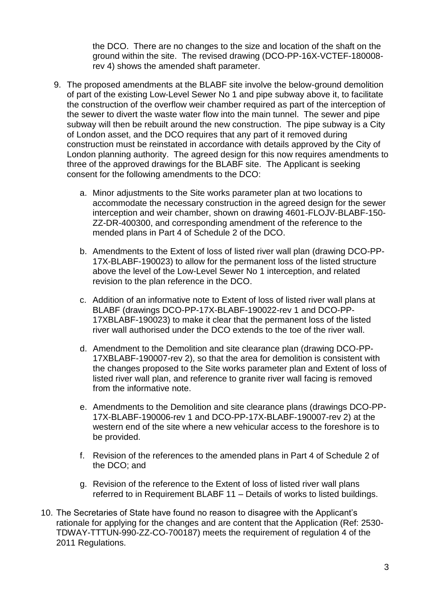the DCO. There are no changes to the size and location of the shaft on the ground within the site. The revised drawing (DCO-PP-16X-VCTEF-180008 rev 4) shows the amended shaft parameter.

- 9. The proposed amendments at the BLABF site involve the below-ground demolition of part of the existing Low-Level Sewer No 1 and pipe subway above it, to facilitate the construction of the overflow weir chamber required as part of the interception of the sewer to divert the waste water flow into the main tunnel. The sewer and pipe subway will then be rebuilt around the new construction. The pipe subway is a City of London asset, and the DCO requires that any part of it removed during construction must be reinstated in accordance with details approved by the City of London planning authority. The agreed design for this now requires amendments to three of the approved drawings for the BLABF site. The Applicant is seeking consent for the following amendments to the DCO:
	- a. Minor adjustments to the Site works parameter plan at two locations to accommodate the necessary construction in the agreed design for the sewer interception and weir chamber, shown on drawing 4601-FLOJV-BLABF-150- ZZ-DR-400300, and corresponding amendment of the reference to the mended plans in Part 4 of Schedule 2 of the DCO.
	- b. Amendments to the Extent of loss of listed river wall plan (drawing DCO-PP-17X-BLABF-190023) to allow for the permanent loss of the listed structure above the level of the Low-Level Sewer No 1 interception, and related revision to the plan reference in the DCO.
	- c. Addition of an informative note to Extent of loss of listed river wall plans at BLABF (drawings DCO-PP-17X-BLABF-190022-rev 1 and DCO-PP-17XBLABF-190023) to make it clear that the permanent loss of the listed river wall authorised under the DCO extends to the toe of the river wall.
	- d. Amendment to the Demolition and site clearance plan (drawing DCO-PP-17XBLABF-190007-rev 2), so that the area for demolition is consistent with the changes proposed to the Site works parameter plan and Extent of loss of listed river wall plan, and reference to granite river wall facing is removed from the informative note.
	- e. Amendments to the Demolition and site clearance plans (drawings DCO-PP-17X-BLABF-190006-rev 1 and DCO-PP-17X-BLABF-190007-rev 2) at the western end of the site where a new vehicular access to the foreshore is to be provided.
	- f. Revision of the references to the amended plans in Part 4 of Schedule 2 of the DCO; and
	- g. Revision of the reference to the Extent of loss of listed river wall plans referred to in Requirement BLABF 11 – Details of works to listed buildings.
- 10. The Secretaries of State have found no reason to disagree with the Applicant's rationale for applying for the changes and are content that the Application (Ref: 2530- TDWAY-TTTUN-990-ZZ-CO-700187) meets the requirement of regulation 4 of the 2011 Regulations.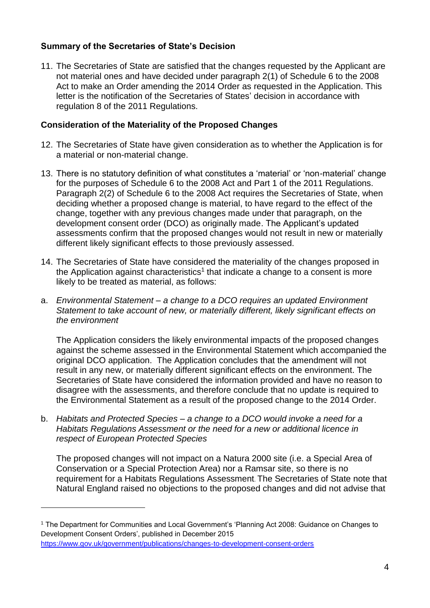# **Summary of the Secretaries of State's Decision**

11. The Secretaries of State are satisfied that the changes requested by the Applicant are not material ones and have decided under paragraph 2(1) of Schedule 6 to the 2008 Act to make an Order amending the 2014 Order as requested in the Application. This letter is the notification of the Secretaries of States' decision in accordance with regulation 8 of the 2011 Regulations.

# **Consideration of the Materiality of the Proposed Changes**

- 12. The Secretaries of State have given consideration as to whether the Application is for a material or non-material change.
- 13. There is no statutory definition of what constitutes a 'material' or 'non-material' change for the purposes of Schedule 6 to the 2008 Act and Part 1 of the 2011 Regulations. Paragraph 2(2) of Schedule 6 to the 2008 Act requires the Secretaries of State, when deciding whether a proposed change is material, to have regard to the effect of the change, together with any previous changes made under that paragraph, on the development consent order (DCO) as originally made. The Applicant's updated assessments confirm that the proposed changes would not result in new or materially different likely significant effects to those previously assessed.
- 14. The Secretaries of State have considered the materiality of the changes proposed in the Application against characteristics<sup>1</sup> that indicate a change to a consent is more likely to be treated as material, as follows:
- a. *Environmental Statement – a change to a DCO requires an updated Environment Statement to take account of new, or materially different, likely significant effects on the environment*

The Application considers the likely environmental impacts of the proposed changes against the scheme assessed in the Environmental Statement which accompanied the original DCO application. The Application concludes that the amendment will not result in any new, or materially different significant effects on the environment. The Secretaries of State have considered the information provided and have no reason to disagree with the assessments, and therefore conclude that no update is required to the Environmental Statement as a result of the proposed change to the 2014 Order.

b. *Habitats and Protected Species – a change to a DCO would invoke a need for a Habitats Regulations Assessment or the need for a new or additional licence in respect of European Protected Species*

The proposed changes will not impact on a Natura 2000 site (i.e. a Special Area of Conservation or a Special Protection Area) nor a Ramsar site, so there is no requirement for a Habitats Regulations Assessment. The Secretaries of State note that Natural England raised no objections to the proposed changes and did not advise that

1

<sup>1</sup> The Department for Communities and Local Government's 'Planning Act 2008: Guidance on Changes to Development Consent Orders', published in December 2015 <https://www.gov.uk/government/publications/changes-to-development-consent-orders>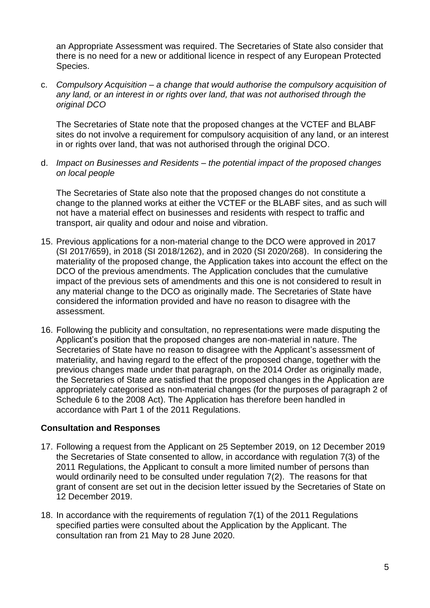an Appropriate Assessment was required. The Secretaries of State also consider that there is no need for a new or additional licence in respect of any European Protected Species.

c. *Compulsory Acquisition – a change that would authorise the compulsory acquisition of any land, or an interest in or rights over land, that was not authorised through the original DCO*

The Secretaries of State note that the proposed changes at the VCTEF and BLABF sites do not involve a requirement for compulsory acquisition of any land, or an interest in or rights over land, that was not authorised through the original DCO.

d. *Impact on Businesses and Residents – the potential impact of the proposed changes on local people*

The Secretaries of State also note that the proposed changes do not constitute a change to the planned works at either the VCTEF or the BLABF sites, and as such will not have a material effect on businesses and residents with respect to traffic and transport, air quality and odour and noise and vibration.

- 15. Previous applications for a non-material change to the DCO were approved in 2017 (SI 2017/659), in 2018 (SI 2018/1262), and in 2020 (SI 2020/268). In considering the materiality of the proposed change, the Application takes into account the effect on the DCO of the previous amendments. The Application concludes that the cumulative impact of the previous sets of amendments and this one is not considered to result in any material change to the DCO as originally made. The Secretaries of State have considered the information provided and have no reason to disagree with the assessment.
- 16. Following the publicity and consultation, no representations were made disputing the Applicant's position that the proposed changes are non-material in nature. The Secretaries of State have no reason to disagree with the Applicant's assessment of materiality, and having regard to the effect of the proposed change, together with the previous changes made under that paragraph, on the 2014 Order as originally made, the Secretaries of State are satisfied that the proposed changes in the Application are appropriately categorised as non-material changes (for the purposes of paragraph 2 of Schedule 6 to the 2008 Act). The Application has therefore been handled in accordance with Part 1 of the 2011 Regulations.

#### **Consultation and Responses**

- 17. Following a request from the Applicant on 25 September 2019, on 12 December 2019 the Secretaries of State consented to allow, in accordance with regulation 7(3) of the 2011 Regulations, the Applicant to consult a more limited number of persons than would ordinarily need to be consulted under regulation 7(2). The reasons for that grant of consent are set out in the decision letter issued by the Secretaries of State on 12 December 2019.
- 18. In accordance with the requirements of regulation 7(1) of the 2011 Regulations specified parties were consulted about the Application by the Applicant. The consultation ran from 21 May to 28 June 2020.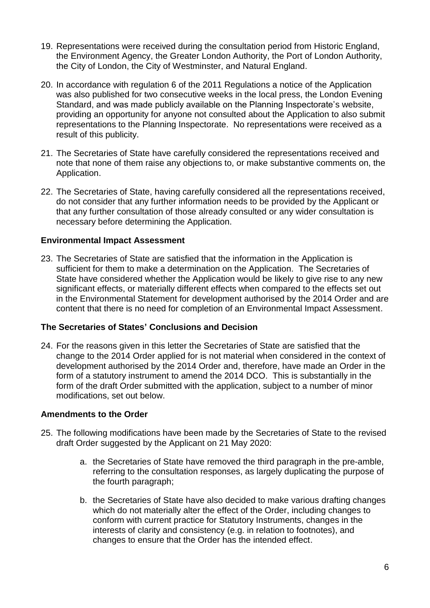- 19. Representations were received during the consultation period from Historic England, the Environment Agency, the Greater London Authority, the Port of London Authority, the City of London, the City of Westminster, and Natural England.
- 20. In accordance with regulation 6 of the 2011 Regulations a notice of the Application was also published for two consecutive weeks in the local press, the London Evening Standard, and was made publicly available on the Planning Inspectorate's website, providing an opportunity for anyone not consulted about the Application to also submit representations to the Planning Inspectorate. No representations were received as a result of this publicity.
- 21. The Secretaries of State have carefully considered the representations received and note that none of them raise any objections to, or make substantive comments on, the Application.
- 22. The Secretaries of State, having carefully considered all the representations received, do not consider that any further information needs to be provided by the Applicant or that any further consultation of those already consulted or any wider consultation is necessary before determining the Application.

# **Environmental Impact Assessment**

23. The Secretaries of State are satisfied that the information in the Application is sufficient for them to make a determination on the Application. The Secretaries of State have considered whether the Application would be likely to give rise to any new significant effects, or materially different effects when compared to the effects set out in the Environmental Statement for development authorised by the 2014 Order and are content that there is no need for completion of an Environmental Impact Assessment.

#### **The Secretaries of States' Conclusions and Decision**

24. For the reasons given in this letter the Secretaries of State are satisfied that the change to the 2014 Order applied for is not material when considered in the context of development authorised by the 2014 Order and, therefore, have made an Order in the form of a statutory instrument to amend the 2014 DCO. This is substantially in the form of the draft Order submitted with the application, subject to a number of minor modifications, set out below.

#### **Amendments to the Order**

- 25. The following modifications have been made by the Secretaries of State to the revised draft Order suggested by the Applicant on 21 May 2020:
	- a. the Secretaries of State have removed the third paragraph in the pre-amble, referring to the consultation responses, as largely duplicating the purpose of the fourth paragraph;
	- b. the Secretaries of State have also decided to make various drafting changes which do not materially alter the effect of the Order, including changes to conform with current practice for Statutory Instruments, changes in the interests of clarity and consistency (e.g. in relation to footnotes), and changes to ensure that the Order has the intended effect.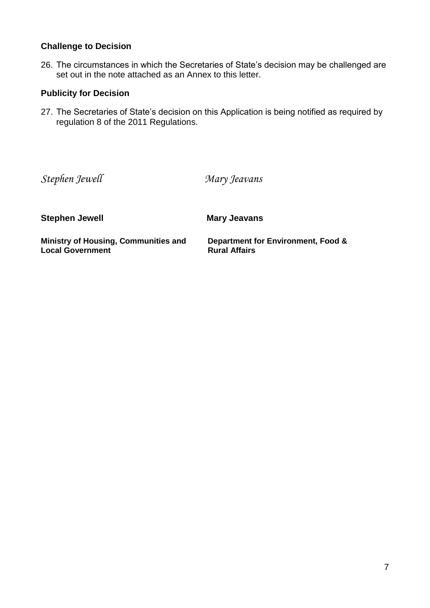## **Challenge to Decision**

26. The circumstances in which the Secretaries of State's decision may be challenged are set out in the note attached as an Annex to this letter.

# **Publicity for Decision**

27. The Secretaries of State's decision on this Application is being notified as required by regulation 8 of the 2011 Regulations.

*Stephen Jewell Mary Jeavans*

**Stephen Jewell Mary Jeavans** 

**Ministry of Housing, Communities and Local Government**

**Department for Environment, Food & Rural Affairs**